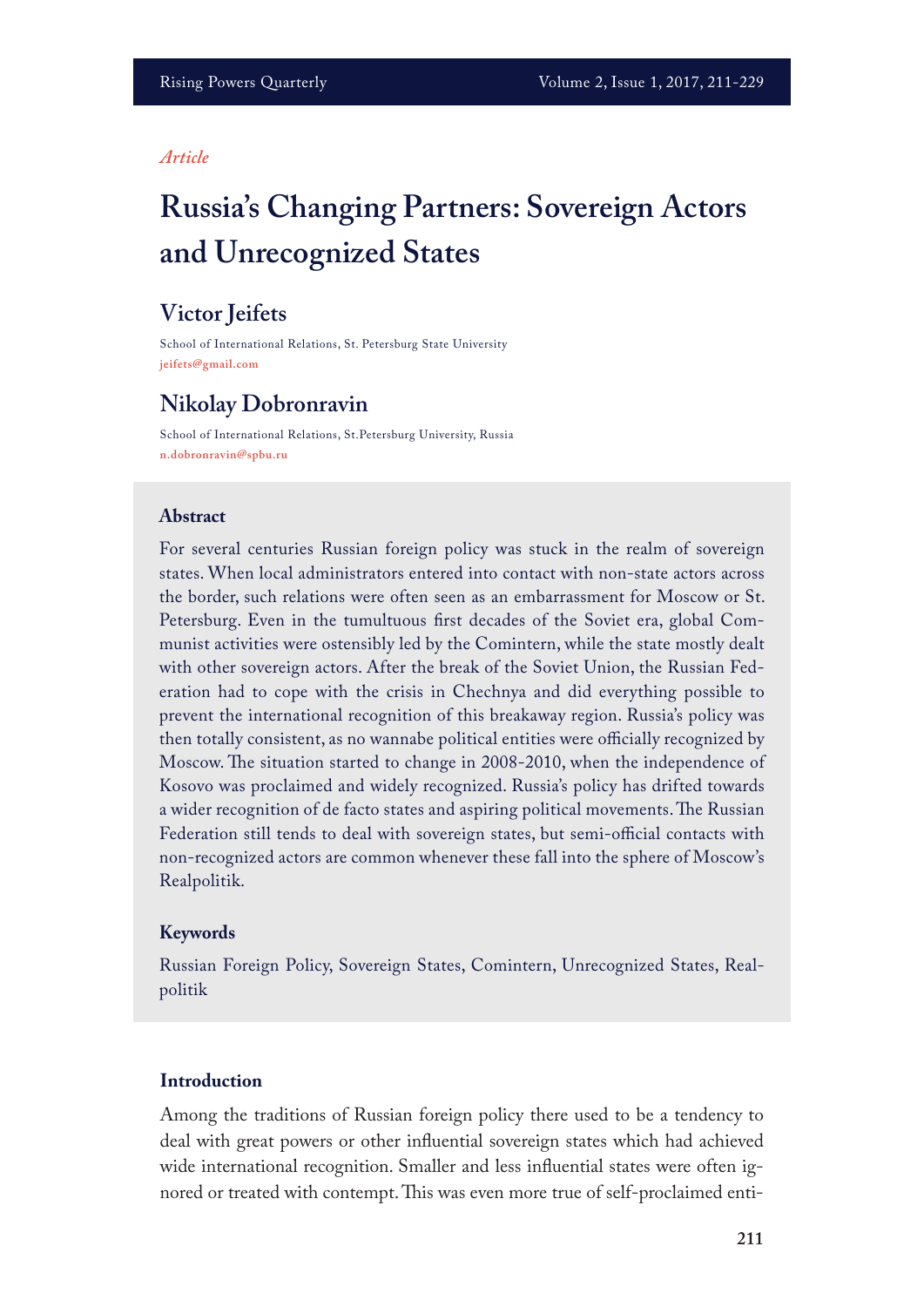### *Article*

# **Russia's Changing Partners: Sovereign Actors and Unrecognized States**

# **Victor Jeifets**

School of International Relations, St. Petersburg State University **jeifets@gmail.com**

# **Nikolay Dobronravin**

School of International Relations, St.Petersburg University, Russia **n.dobronravin@spbu.ru**

## **Abstract**

For several centuries Russian foreign policy was stuck in the realm of sovereign states. When local administrators entered into contact with non-state actors across the border, such relations were often seen as an embarrassment for Moscow or St. Petersburg. Even in the tumultuous frst decades of the Soviet era, global Communist activities were ostensibly led by the Comintern, while the state mostly dealt with other sovereign actors. After the break of the Soviet Union, the Russian Federation had to cope with the crisis in Chechnya and did everything possible to prevent the international recognition of this breakaway region. Russia's policy was then totally consistent, as no wannabe political entities were officially recognized by Moscow. The situation started to change in 2008-2010, when the independence of Kosovo was proclaimed and widely recognized. Russia's policy has drifted towards a wider recognition of de facto states and aspiring political movements. The Russian Federation still tends to deal with sovereign states, but semi-official contacts with non-recognized actors are common whenever these fall into the sphere of Moscow's Realpolitik.

## **Keywords**

Russian Foreign Policy, Sovereign States, Comintern, Unrecognized States, Realpolitik

## **Introduction**

Among the traditions of Russian foreign policy there used to be a tendency to deal with great powers or other infuential sovereign states which had achieved wide international recognition. Smaller and less infuential states were often ignored or treated with contempt. This was even more true of self-proclaimed enti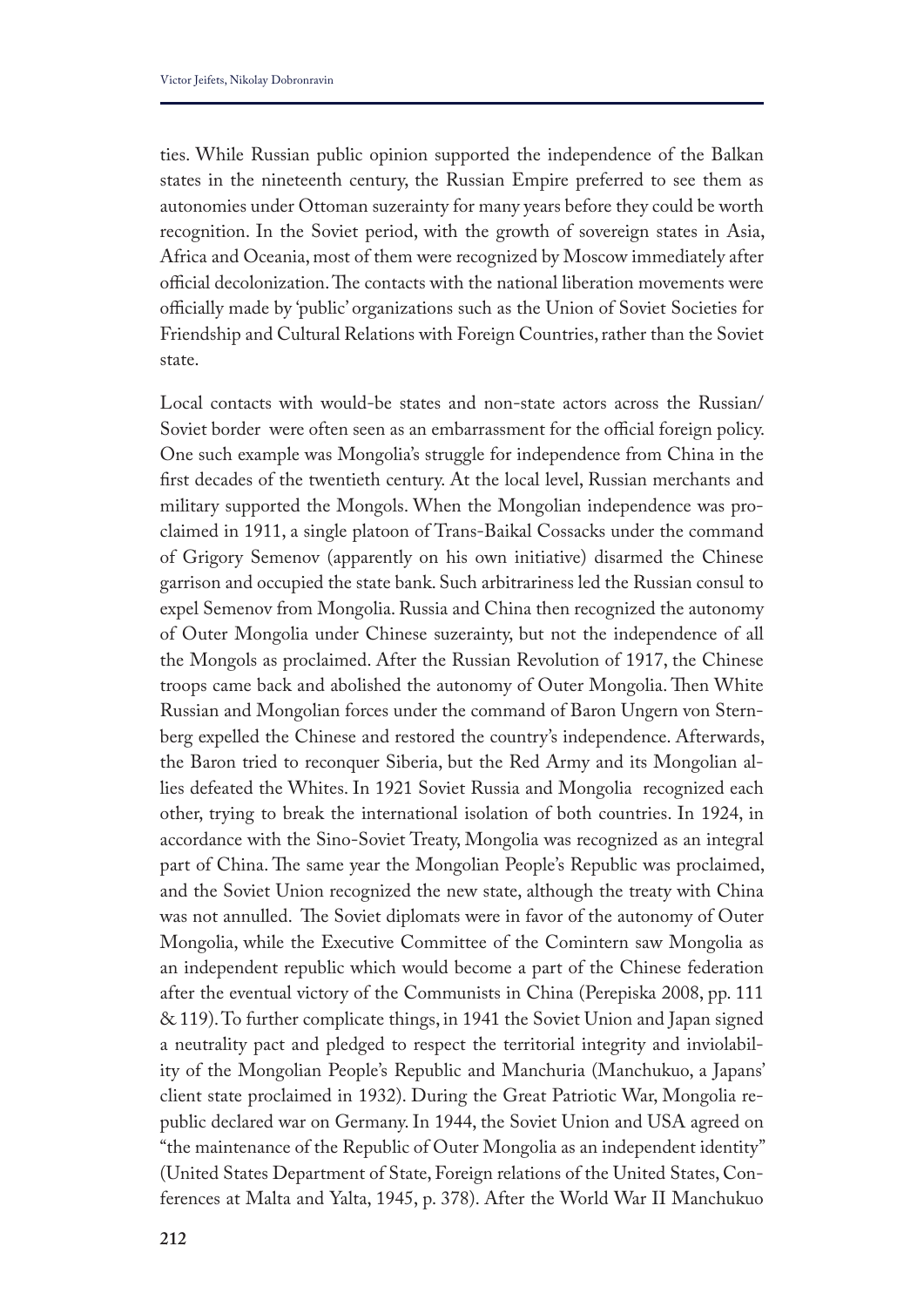ties. While Russian public opinion supported the independence of the Balkan states in the nineteenth century, the Russian Empire preferred to see them as autonomies under Ottoman suzerainty for many years before they could be worth recognition. In the Soviet period, with the growth of sovereign states in Asia, Africa and Oceania, most of them were recognized by Moscow immediately after official decolonization. The contacts with the national liberation movements were officially made by 'public' organizations such as the Union of Soviet Societies for Friendship and Cultural Relations with Foreign Countries, rather than the Soviet state.

Local contacts with would-be states and non-state actors across the Russian/ Soviet border were often seen as an embarrassment for the official foreign policy. One such example was Mongolia's struggle for independence from China in the frst decades of the twentieth century. At the local level, Russian merchants and military supported the Mongols. When the Mongolian independence was proclaimed in 1911, a single platoon of Trans-Baikal Cossacks under the command of Grigory Semenov (apparently on his own initiative) disarmed the Chinese garrison and occupied the state bank. Such arbitrariness led the Russian consul to expel Semenov from Mongolia. Russia and China then recognized the autonomy of Outer Mongolia under Chinese suzerainty, but not the independence of all the Mongols as proclaimed. After the Russian Revolution of 1917, the Chinese troops came back and abolished the autonomy of Outer Mongolia. Then White Russian and Mongolian forces under the command of Baron Ungern von Sternberg expelled the Chinese and restored the country's independence. Afterwards, the Baron tried to reconquer Siberia, but the Red Army and its Mongolian allies defeated the Whites. In 1921 Soviet Russia and Mongolia recognized each other, trying to break the international isolation of both countries. In 1924, in accordance with the Sino-Soviet Treaty, Mongolia was recognized as an integral part of China. The same year the Mongolian People's Republic was proclaimed, and the Soviet Union recognized the new state, although the treaty with China was not annulled. The Soviet diplomats were in favor of the autonomy of Outer Mongolia, while the Executive Committee of the Comintern saw Mongolia as an independent republic which would become a part of the Chinese federation after the eventual victory of the Communists in China (Perepiska 2008, pp. 111 & 119). To further complicate things, in 1941 the Soviet Union and Japan signed a neutrality pact and pledged to respect the territorial integrity and inviolability of the Mongolian People's Republic and Manchuria (Manchukuo, a Japans' client state proclaimed in 1932). During the Great Patriotic War, Mongolia republic declared war on Germany. In 1944, the Soviet Union and USA agreed on "the maintenance of the Republic of Outer Mongolia as an independent identity" (United States Department of State, Foreign relations of the United States, Conferences at Malta and Yalta, 1945, p. 378). After the World War II Manchukuo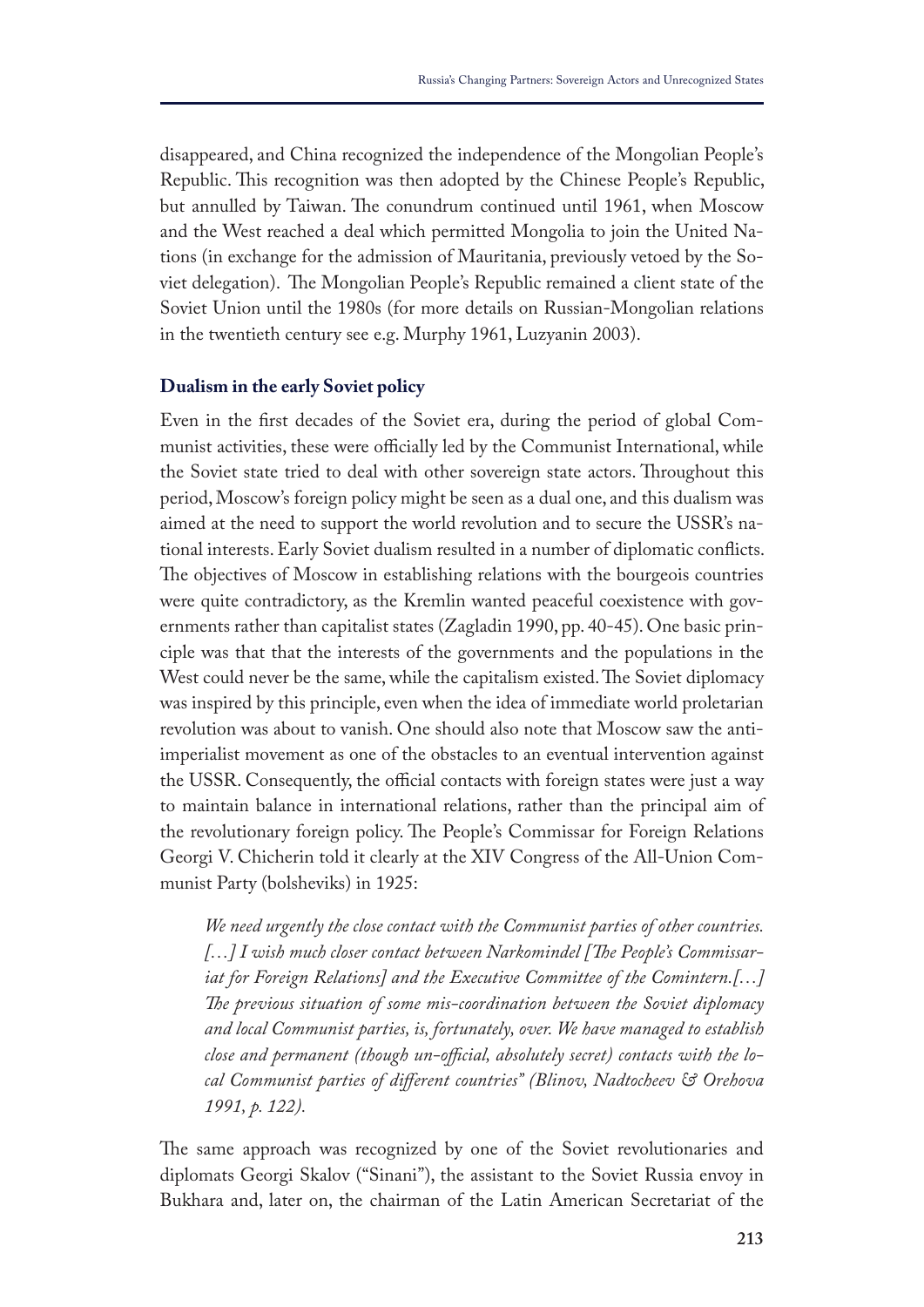disappeared, and China recognized the independence of the Mongolian People's Republic. This recognition was then adopted by the Chinese People's Republic, but annulled by Taiwan. The conundrum continued until 1961, when Moscow and the West reached a deal which permitted Mongolia to join the United Nations (in exchange for the admission of Mauritania, previously vetoed by the Soviet delegation). The Mongolian People's Republic remained a client state of the Soviet Union until the 1980s (for more details on Russian-Mongolian relations in the twentieth century see e.g. Murphy 1961, Luzyanin 2003).

### **Dualism in the early Soviet policy**

Even in the frst decades of the Soviet era, during the period of global Communist activities, these were officially led by the Communist International, while the Soviet state tried to deal with other sovereign state actors. Throughout this period, Moscow's foreign policy might be seen as a dual one, and this dualism was aimed at the need to support the world revolution and to secure the USSR's national interests. Early Soviet dualism resulted in a number of diplomatic conficts. The objectives of Moscow in establishing relations with the bourgeois countries were quite contradictory, as the Kremlin wanted peaceful coexistence with governments rather than capitalist states (Zagladin 1990, pp. 40-45). One basic principle was that that the interests of the governments and the populations in the West could never be the same, while the capitalism existed. The Soviet diplomacy was inspired by this principle, even when the idea of immediate world proletarian revolution was about to vanish. One should also note that Moscow saw the antiimperialist movement as one of the obstacles to an eventual intervention against the USSR. Consequently, the official contacts with foreign states were just a way to maintain balance in international relations, rather than the principal aim of the revolutionary foreign policy. The People's Commissar for Foreign Relations Georgi V. Chicherin told it clearly at the XIV Congress of the All-Union Communist Party (bolsheviks) in 1925:

*We need urgently the close contact with the Communist parties of other countries. […] I wish much closer contact between Narkomindel [Te People's Commissariat for Foreign Relations] and the Executive Committee of the Comintern.[…] Te previous situation of some mis-coordination between the Soviet diplomacy and local Communist parties, is, fortunately, over. We have managed to establish close and permanent (though un-ofcial, absolutely secret) contacts with the local Communist parties of diferent countries" (Blinov, Nadtocheev & Orehova 1991, p. 122).*

The same approach was recognized by one of the Soviet revolutionaries and diplomats Georgi Skalov ("Sinani"), the assistant to the Soviet Russia envoy in Bukhara and, later on, the chairman of the Latin American Secretariat of the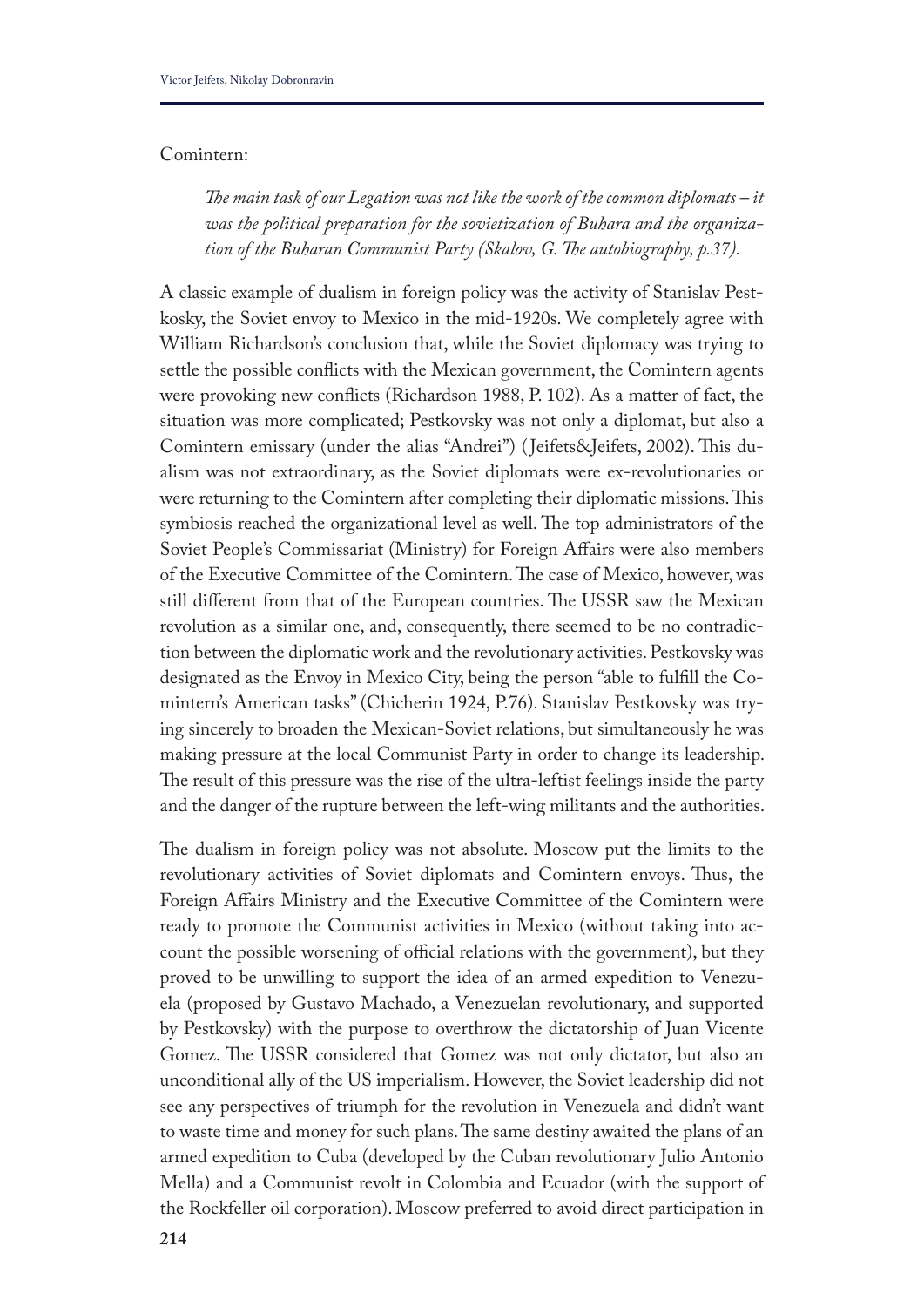## Comintern:

*Te main task of our Legation was not like the work of the common diplomats – it was the political preparation for the sovietization of Buhara and the organization of the Buharan Communist Party (Skalov, G. Te autobiography, p.37).*

A classic example of dualism in foreign policy was the activity of Stanislav Pestkosky, the Soviet envoy to Mexico in the mid-1920s. We completely agree with William Richardson's conclusion that, while the Soviet diplomacy was trying to settle the possible conficts with the Mexican government, the Comintern agents were provoking new conficts (Richardson 1988, P. 102). As a matter of fact, the situation was more complicated; Pestkovsky was not only a diplomat, but also a Comintern emissary (under the alias "Andrei") (Jeifets&Jeifets, 2002). This dualism was not extraordinary, as the Soviet diplomats were ex-revolutionaries or were returning to the Comintern after completing their diplomatic missions. This symbiosis reached the organizational level as well. The top administrators of the Soviet People's Commissariat (Ministry) for Foreign Afairs were also members of the Executive Committee of the Comintern. The case of Mexico, however, was still different from that of the European countries. The USSR saw the Mexican revolution as a similar one, and, consequently, there seemed to be no contradiction between the diplomatic work and the revolutionary activities. Pestkovsky was designated as the Envoy in Mexico City, being the person "able to fulfll the Comintern's American tasks" (Chicherin 1924, P.76). Stanislav Pestkovsky was trying sincerely to broaden the Mexican-Soviet relations, but simultaneously he was making pressure at the local Communist Party in order to change its leadership. The result of this pressure was the rise of the ultra-leftist feelings inside the party and the danger of the rupture between the left-wing militants and the authorities.

The dualism in foreign policy was not absolute. Moscow put the limits to the revolutionary activities of Soviet diplomats and Comintern envoys. Thus, the Foreign Afairs Ministry and the Executive Committee of the Comintern were ready to promote the Communist activities in Mexico (without taking into account the possible worsening of official relations with the government), but they proved to be unwilling to support the idea of an armed expedition to Venezuela (proposed by Gustavo Machado, a Venezuelan revolutionary, and supported by Pestkovsky) with the purpose to overthrow the dictatorship of Juan Vicente Gomez. The USSR considered that Gomez was not only dictator, but also an unconditional ally of the US imperialism. However, the Soviet leadership did not see any perspectives of triumph for the revolution in Venezuela and didn't want to waste time and money for such plans. The same destiny awaited the plans of an armed expedition to Cuba (developed by the Cuban revolutionary Julio Antonio Mella) and a Communist revolt in Colombia and Ecuador (with the support of the Rockfeller oil corporation). Moscow preferred to avoid direct participation in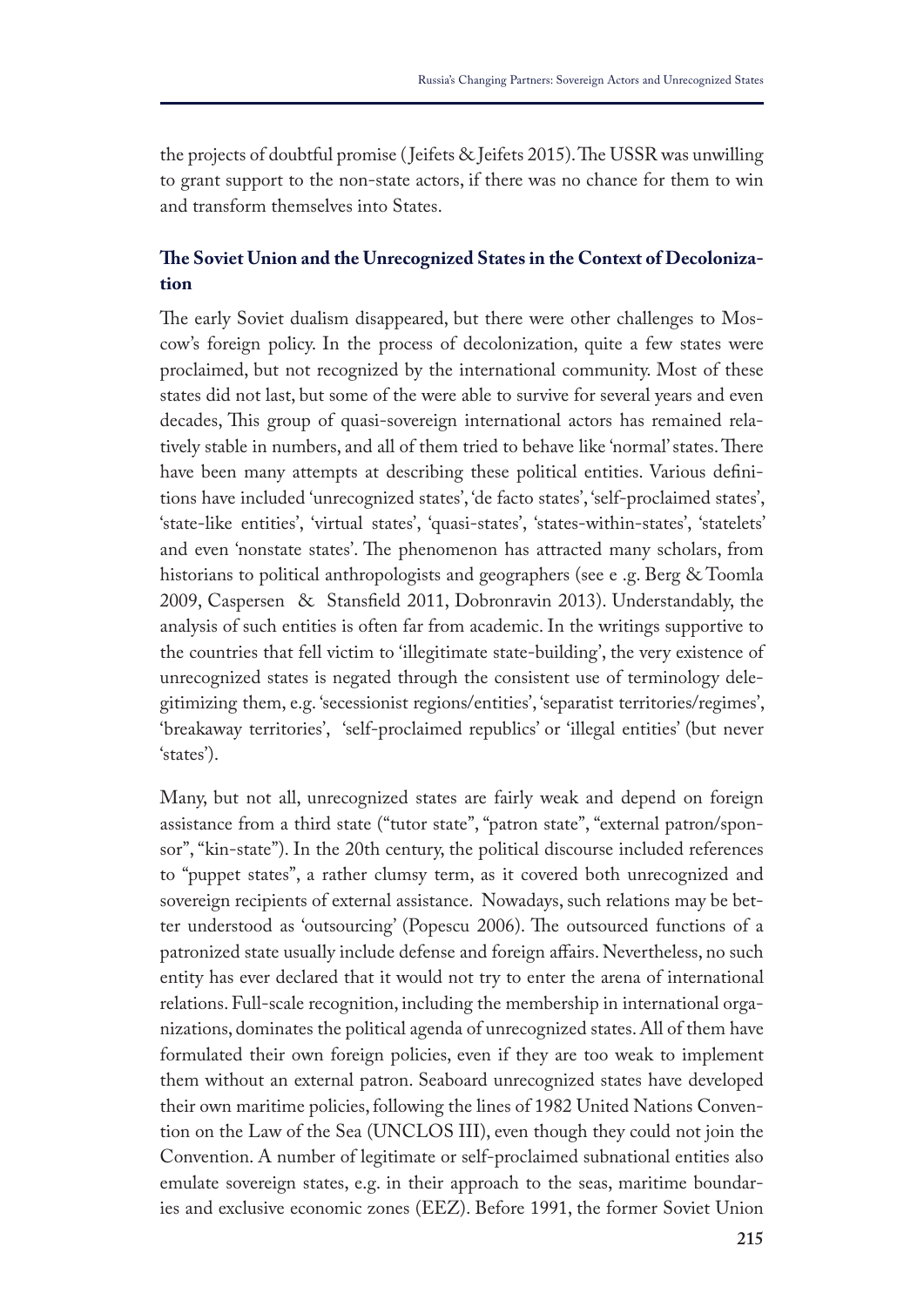the projects of doubtful promise (Jeifets  $\&$  Jeifets 2015). The USSR was unwilling to grant support to the non-state actors, if there was no chance for them to win and transform themselves into States.

## **Te Soviet Union and the Unrecognized States in the Context of Decolonization**

The early Soviet dualism disappeared, but there were other challenges to Moscow's foreign policy. In the process of decolonization, quite a few states were proclaimed, but not recognized by the international community. Most of these states did not last, but some of the were able to survive for several years and even decades, This group of quasi-sovereign international actors has remained relatively stable in numbers, and all of them tried to behave like 'normal' states. There have been many attempts at describing these political entities. Various defnitions have included 'unrecognized states', 'de facto states', 'self-proclaimed states', 'state-like entities', 'virtual states', 'quasi-states', 'states-within-states', 'statelets' and even 'nonstate states'. The phenomenon has attracted many scholars, from historians to political anthropologists and geographers (see e .g. Berg & Toomla 2009, Caspersen & Stansfeld 2011, Dobronravin 2013). Understandably, the analysis of such entities is often far from academic. In the writings supportive to the countries that fell victim to 'illegitimate state-building', the very existence of unrecognized states is negated through the consistent use of terminology delegitimizing them, e.g. 'secessionist regions/entities', 'separatist territories/regimes', 'breakaway territories', 'self-proclaimed republics' or 'illegal entities' (but never 'states').

Many, but not all, unrecognized states are fairly weak and depend on foreign assistance from a third state ("tutor state", "patron state", "external patron/sponsor", "kin-state"). In the 20th century, the political discourse included references to "puppet states", a rather clumsy term, as it covered both unrecognized and sovereign recipients of external assistance. Nowadays, such relations may be better understood as 'outsourcing' (Popescu 2006). The outsourced functions of a patronized state usually include defense and foreign afairs. Nevertheless, no such entity has ever declared that it would not try to enter the arena of international relations. Full-scale recognition, including the membership in international organizations, dominates the political agenda of unrecognized states. All of them have formulated their own foreign policies, even if they are too weak to implement them without an external patron. Seaboard unrecognized states have developed their own maritime policies, following the lines of 1982 United Nations Convention on the Law of the Sea (UNCLOS III), even though they could not join the Convention. A number of legitimate or self-proclaimed subnational entities also emulate sovereign states, e.g. in their approach to the seas, maritime boundaries and exclusive economic zones (EEZ). Before 1991, the former Soviet Union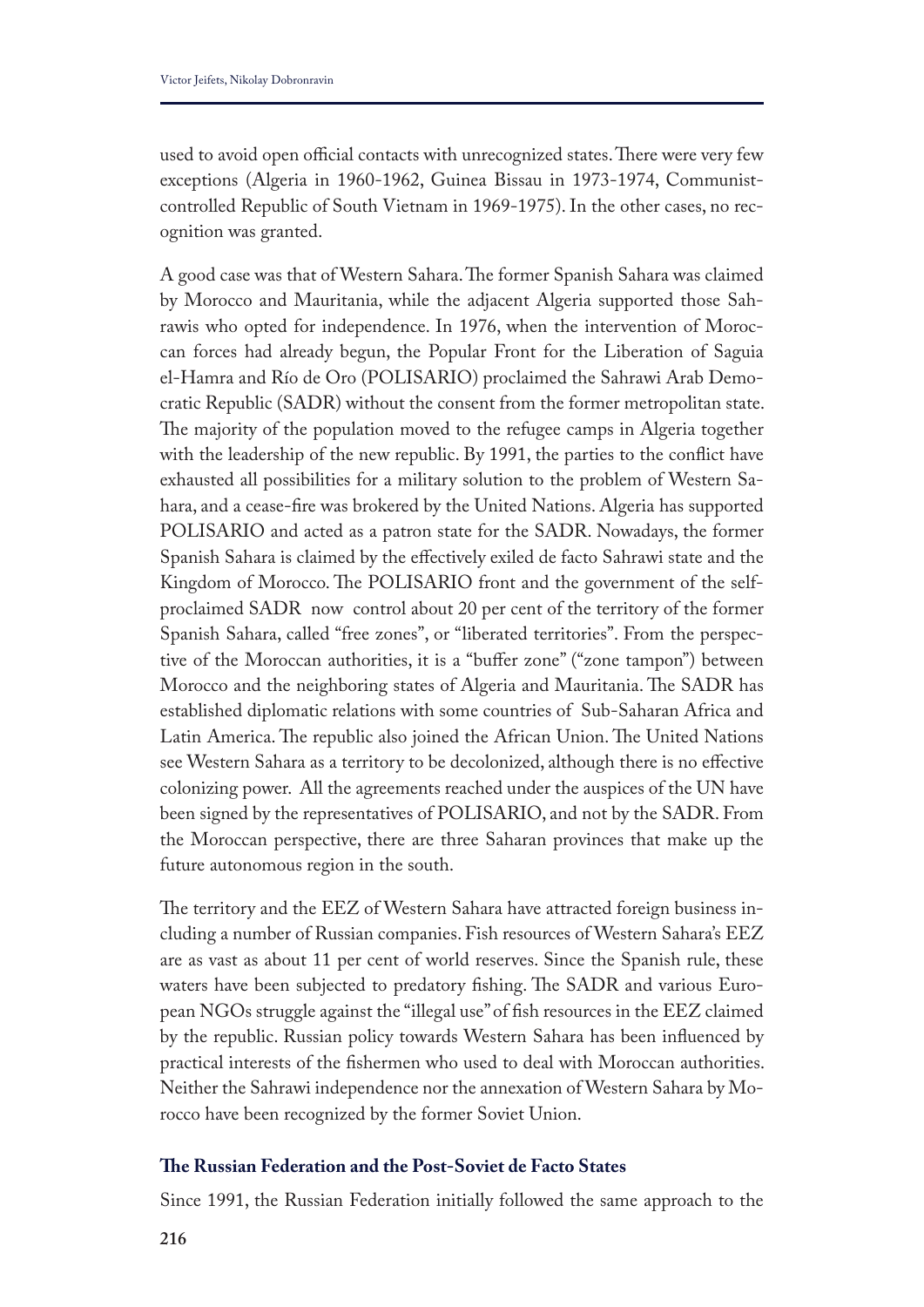used to avoid open official contacts with unrecognized states. There were very few exceptions (Algeria in 1960-1962, Guinea Bissau in 1973-1974, Communistcontrolled Republic of South Vietnam in 1969-1975). In the other cases, no recognition was granted.

A good case was that of Western Sahara. The former Spanish Sahara was claimed by Morocco and Mauritania, while the adjacent Algeria supported those Sahrawis who opted for independence. In 1976, when the intervention of Moroccan forces had already begun, the Popular Front for the Liberation of Saguia el-Hamra and Río de Oro (POLISARIO) proclaimed the Sahrawi Arab Democratic Republic (SADR) without the consent from the former metropolitan state. The majority of the population moved to the refugee camps in Algeria together with the leadership of the new republic. By 1991, the parties to the conflict have exhausted all possibilities for a military solution to the problem of Western Sahara, and a cease-fre was brokered by the United Nations. Algeria has supported POLISARIO and acted as a patron state for the SADR. Nowadays, the former Spanish Sahara is claimed by the efectively exiled de facto Sahrawi state and the Kingdom of Morocco. The POLISARIO front and the government of the selfproclaimed SADR now control about 20 per cent of the territory of the former Spanish Sahara, called "free zones", or "liberated territories". From the perspective of the Moroccan authorities, it is a "bufer zone" ("zone tampon") between Morocco and the neighboring states of Algeria and Mauritania. The SADR has established diplomatic relations with some countries of Sub-Saharan Africa and Latin America. The republic also joined the African Union. The United Nations see Western Sahara as a territory to be decolonized, although there is no efective colonizing power. All the agreements reached under the auspices of the UN have been signed by the representatives of POLISARIO, and not by the SADR. From the Moroccan perspective, there are three Saharan provinces that make up the future autonomous region in the south.

The territory and the EEZ of Western Sahara have attracted foreign business including a number of Russian companies. Fish resources of Western Sahara's EEZ are as vast as about 11 per cent of world reserves. Since the Spanish rule, these waters have been subjected to predatory fishing. The SADR and various European NGOs struggle against the "illegal use" of fsh resources in the EEZ claimed by the republic. Russian policy towards Western Sahara has been infuenced by practical interests of the fshermen who used to deal with Moroccan authorities. Neither the Sahrawi independence nor the annexation of Western Sahara by Morocco have been recognized by the former Soviet Union.

## **Te Russian Federation and the Post-Soviet de Facto States**

Since 1991, the Russian Federation initially followed the same approach to the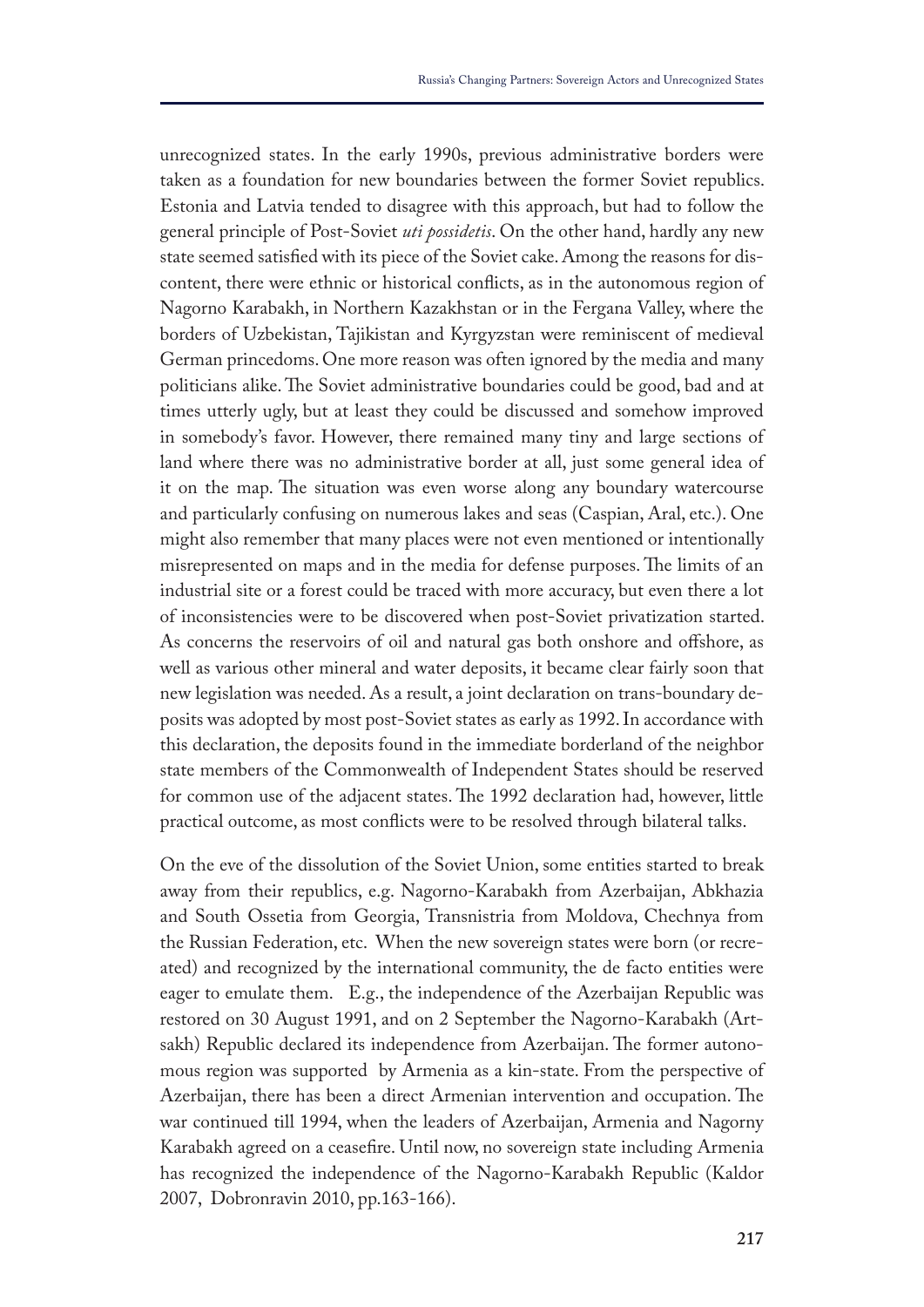unrecognized states. In the early 1990s, previous administrative borders were taken as a foundation for new boundaries between the former Soviet republics. Estonia and Latvia tended to disagree with this approach, but had to follow the general principle of Post-Soviet *uti possidetis*. On the other hand, hardly any new state seemed satisfed with its piece of the Soviet cake. Among the reasons for discontent, there were ethnic or historical conficts, as in the autonomous region of Nagorno Karabakh, in Northern Kazakhstan or in the Fergana Valley, where the borders of Uzbekistan, Tajikistan and Kyrgyzstan were reminiscent of medieval German princedoms. One more reason was often ignored by the media and many politicians alike. The Soviet administrative boundaries could be good, bad and at times utterly ugly, but at least they could be discussed and somehow improved in somebody's favor. However, there remained many tiny and large sections of land where there was no administrative border at all, just some general idea of it on the map. The situation was even worse along any boundary watercourse and particularly confusing on numerous lakes and seas (Caspian, Aral, etc.). One might also remember that many places were not even mentioned or intentionally misrepresented on maps and in the media for defense purposes. The limits of an industrial site or a forest could be traced with more accuracy, but even there a lot of inconsistencies were to be discovered when post-Soviet privatization started. As concerns the reservoirs of oil and natural gas both onshore and offshore, as well as various other mineral and water deposits, it became clear fairly soon that new legislation was needed. As a result, a joint declaration on trans-boundary deposits was adopted by most post-Soviet states as early as 1992. In accordance with this declaration, the deposits found in the immediate borderland of the neighbor state members of the Commonwealth of Independent States should be reserved for common use of the adjacent states. The 1992 declaration had, however, little practical outcome, as most conficts were to be resolved through bilateral talks.

On the eve of the dissolution of the Soviet Union, some entities started to break away from their republics, e.g. Nagorno-Karabakh from Azerbaijan, Abkhazia and South Ossetia from Georgia, Transnistria from Moldova, Chechnya from the Russian Federation, etc. When the new sovereign states were born (or recreated) and recognized by the international community, the de facto entities were eager to emulate them. E.g., the independence of the Azerbaijan Republic was restored on 30 August 1991, and on 2 September the Nagorno-Karabakh (Artsakh) Republic declared its independence from Azerbaijan. The former autonomous region was supported by Armenia as a kin-state. From the perspective of Azerbaijan, there has been a direct Armenian intervention and occupation. The war continued till 1994, when the leaders of Azerbaijan, Armenia and Nagorny Karabakh agreed on a ceasefre. Until now, no sovereign state including Armenia has recognized the independence of the Nagorno-Karabakh Republic (Kaldor 2007, Dobronravin 2010, pp.163-166).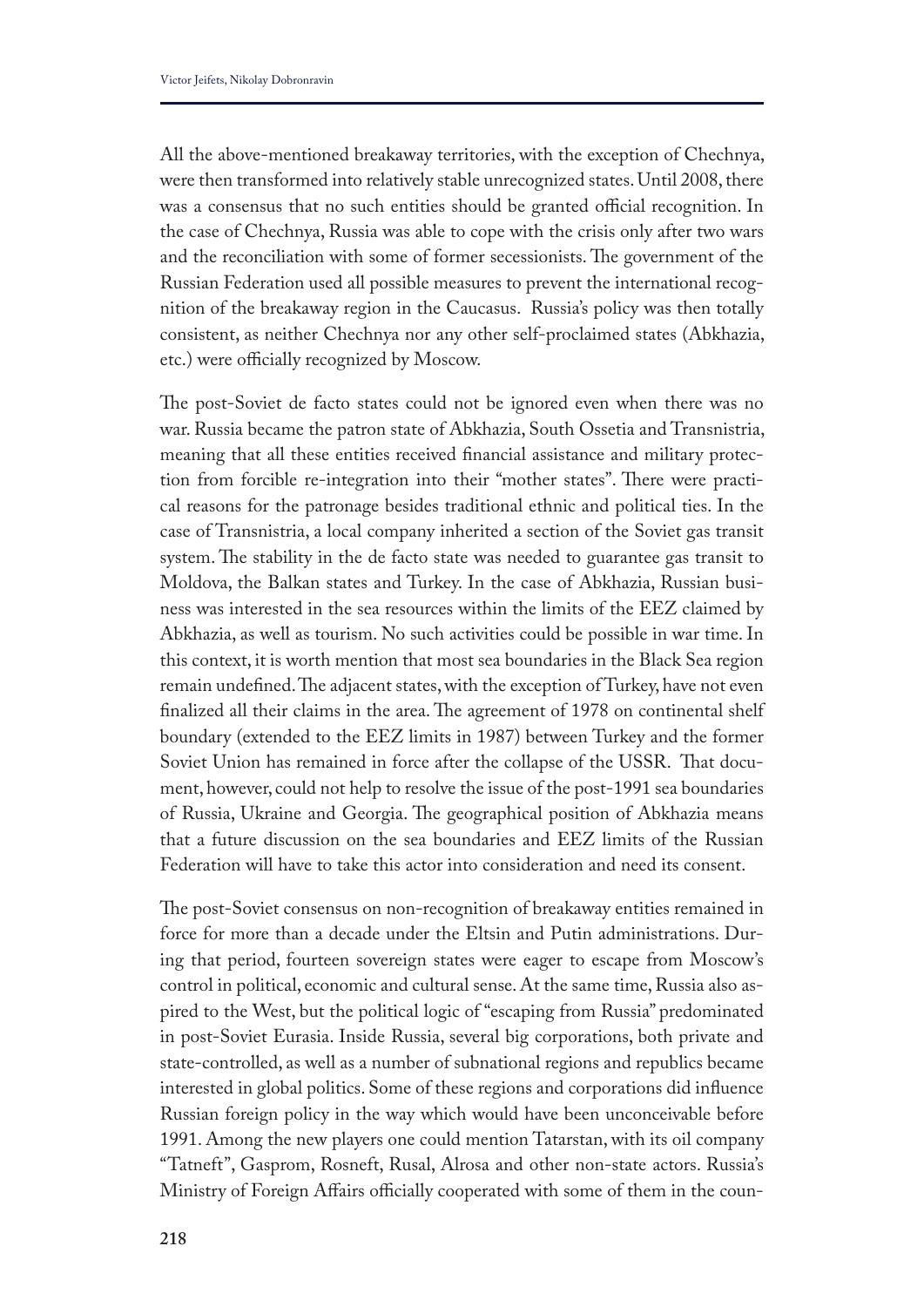All the above-mentioned breakaway territories, with the exception of Chechnya, were then transformed into relatively stable unrecognized states. Until 2008, there was a consensus that no such entities should be granted official recognition. In the case of Chechnya, Russia was able to cope with the crisis only after two wars and the reconciliation with some of former secessionists. The government of the Russian Federation used all possible measures to prevent the international recognition of the breakaway region in the Caucasus. Russia's policy was then totally consistent, as neither Chechnya nor any other self-proclaimed states (Abkhazia, etc.) were officially recognized by Moscow.

The post-Soviet de facto states could not be ignored even when there was no war. Russia became the patron state of Abkhazia, South Ossetia and Transnistria, meaning that all these entities received fnancial assistance and military protection from forcible re-integration into their "mother states". There were practical reasons for the patronage besides traditional ethnic and political ties. In the case of Transnistria, a local company inherited a section of the Soviet gas transit system. The stability in the de facto state was needed to guarantee gas transit to Moldova, the Balkan states and Turkey. In the case of Abkhazia, Russian business was interested in the sea resources within the limits of the EEZ claimed by Abkhazia, as well as tourism. No such activities could be possible in war time. In this context, it is worth mention that most sea boundaries in the Black Sea region remain undefined. The adjacent states, with the exception of Turkey, have not even finalized all their claims in the area. The agreement of 1978 on continental shelf boundary (extended to the EEZ limits in 1987) between Turkey and the former Soviet Union has remained in force after the collapse of the USSR. That document, however, could not help to resolve the issue of the post-1991 sea boundaries of Russia, Ukraine and Georgia. The geographical position of Abkhazia means that a future discussion on the sea boundaries and EEZ limits of the Russian Federation will have to take this actor into consideration and need its consent.

The post-Soviet consensus on non-recognition of breakaway entities remained in force for more than a decade under the Eltsin and Putin administrations. During that period, fourteen sovereign states were eager to escape from Moscow's control in political, economic and cultural sense. At the same time, Russia also aspired to the West, but the political logic of "escaping from Russia" predominated in post-Soviet Eurasia. Inside Russia, several big corporations, both private and state-controlled, as well as a number of subnational regions and republics became interested in global politics. Some of these regions and corporations did infuence Russian foreign policy in the way which would have been unconceivable before 1991. Among the new players one could mention Tatarstan, with its oil company "Tatneft", Gasprom, Rosneft, Rusal, Alrosa and other non-state actors. Russia's Ministry of Foreign Affairs officially cooperated with some of them in the coun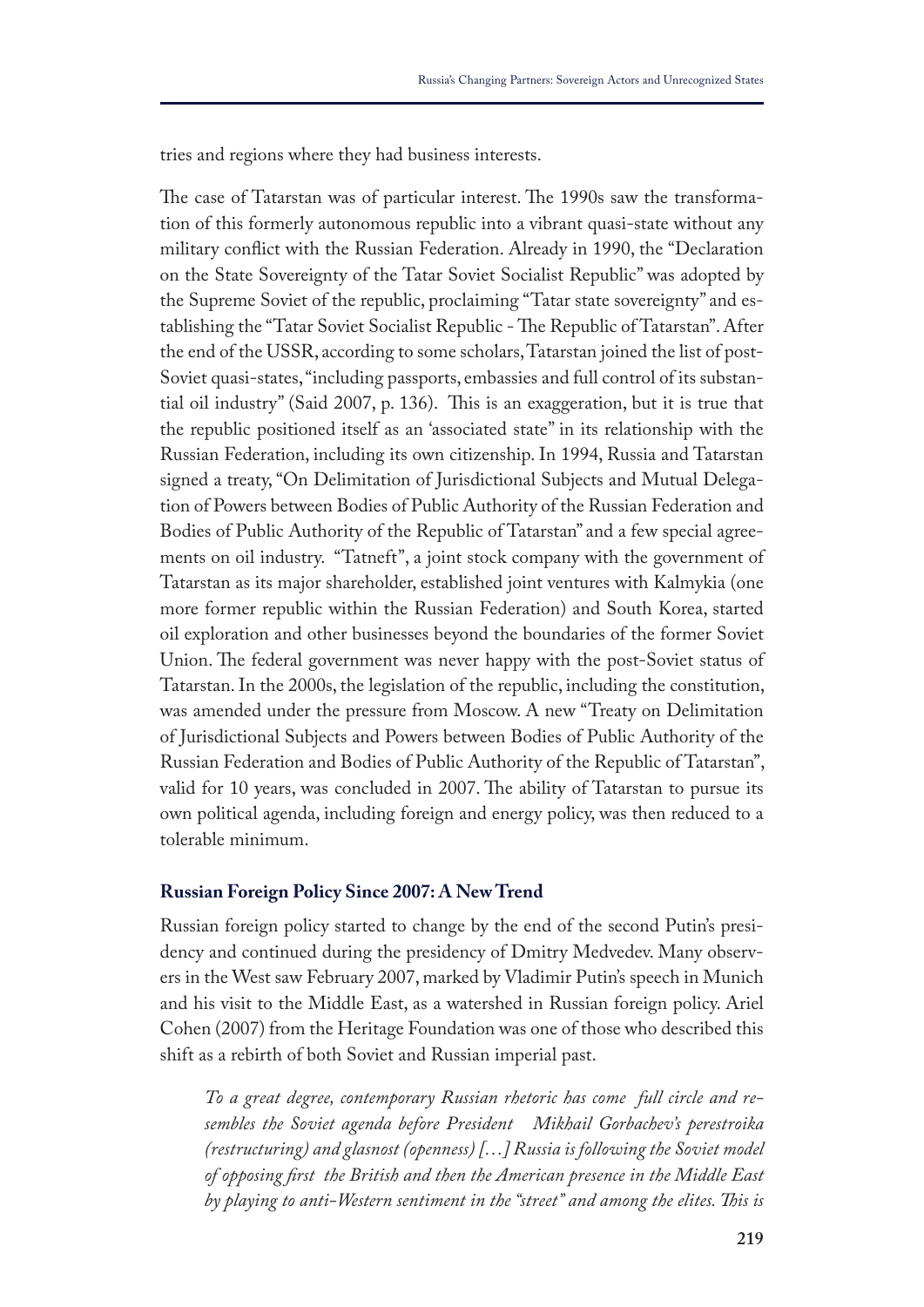tries and regions where they had business interests.

The case of Tatarstan was of particular interest. The 1990s saw the transformation of this formerly autonomous republic into a vibrant quasi-state without any military confict with the Russian Federation. Already in 1990, the "Declaration on the State Sovereignty of the Tatar Soviet Socialist Republic" was adopted by the Supreme Soviet of the republic, proclaiming "Tatar state sovereignty" and establishing the "Tatar Soviet Socialist Republic - The Republic of Tatarstan". After the end of the USSR, according to some scholars, Tatarstan joined the list of post-Soviet quasi-states, "including passports, embassies and full control of its substantial oil industry" (Said 2007, p. 136). This is an exaggeration, but it is true that the republic positioned itself as an 'associated state" in its relationship with the Russian Federation, including its own citizenship. In 1994, Russia and Tatarstan signed a treaty, "On Delimitation of Jurisdictional Subjects and Mutual Delegation of Powers between Bodies of Public Authority of the Russian Federation and Bodies of Public Authority of the Republic of Tatarstan" and a few special agreements on oil industry. "Tatneft", a joint stock company with the government of Tatarstan as its major shareholder, established joint ventures with Kalmykia (one more former republic within the Russian Federation) and South Korea, started oil exploration and other businesses beyond the boundaries of the former Soviet Union. The federal government was never happy with the post-Soviet status of Tatarstan. In the 2000s, the legislation of the republic, including the constitution, was amended under the pressure from Moscow. A new "Treaty on Delimitation of Jurisdictional Subjects and Powers between Bodies of Public Authority of the Russian Federation and Bodies of Public Authority of the Republic of Tatarstan", valid for 10 years, was concluded in 2007. The ability of Tatarstan to pursue its own political agenda, including foreign and energy policy, was then reduced to a tolerable minimum.

## **Russian Foreign Policy Since 2007: A New Trend**

Russian foreign policy started to change by the end of the second Putin's presidency and continued during the presidency of Dmitry Medvedev. Many observers in the West saw February 2007, marked by Vladimir Putin's speech in Munich and his visit to the Middle East, as a watershed in Russian foreign policy. Ariel Cohen (2007) from the Heritage Foundation was one of those who described this shift as a rebirth of both Soviet and Russian imperial past.

*To a great degree, contemporary Russian rhetoric has come full circle and resembles the Soviet agenda before President Mikhail Gorbachev's perestroika (restructuring) and glasnost (openness) […] Russia is following the Soviet model of opposing frst the British and then the American presence in the Middle East by playing to anti-Western sentiment in the "street" and among the elites. Tis is*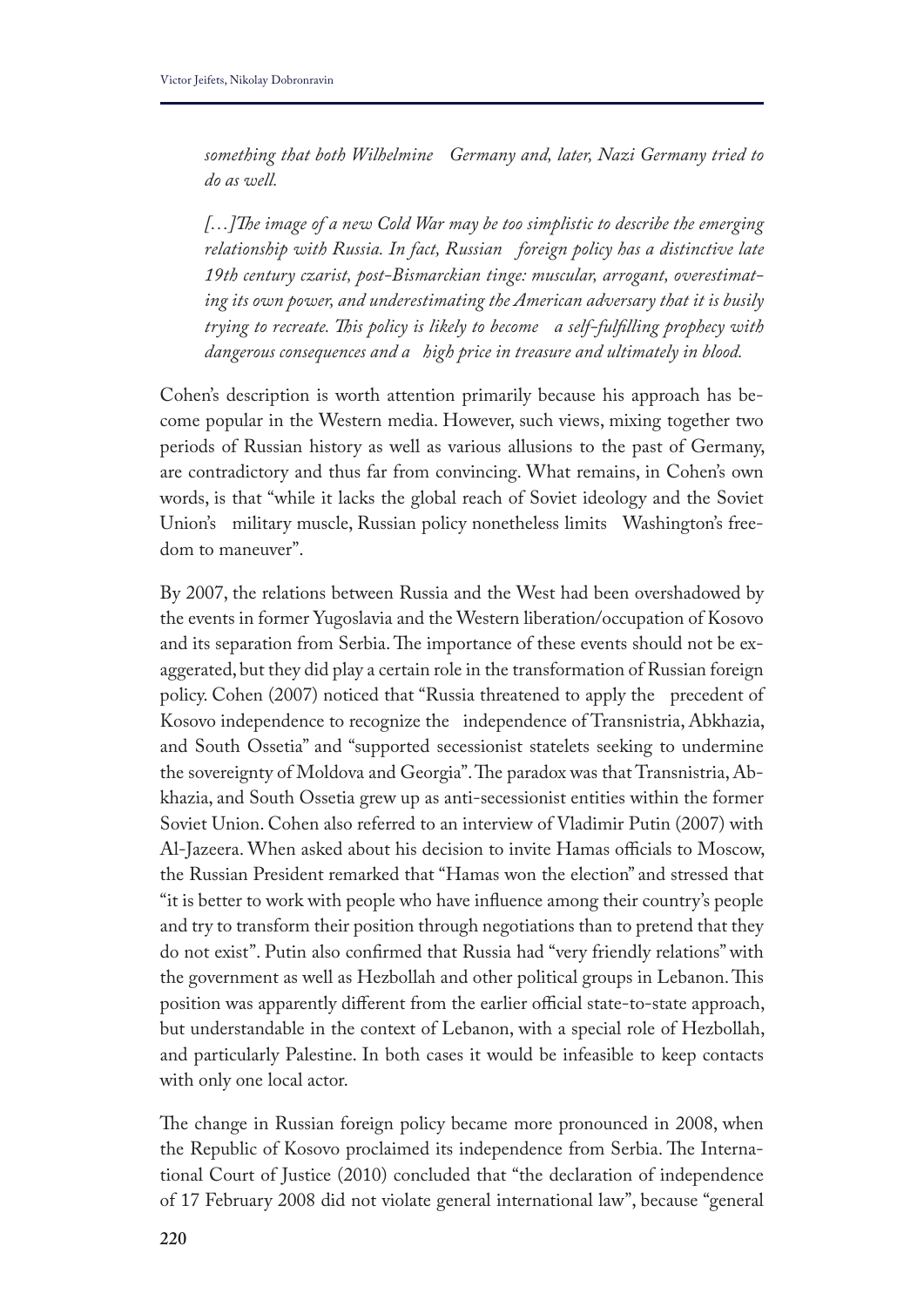*something that both Wilhelmine Germany and, later, Nazi Germany tried to do as well.*

*[…]Te image of a new Cold War may be too simplistic to describe the emerging relationship with Russia. In fact, Russian foreign policy has a distinctive late 19th century czarist, post-Bismarckian tinge: muscular, arrogant, overestimating its own power, and underestimating the American adversary that it is busily trying to recreate. Tis policy is likely to become a self-fulflling prophecy with dangerous consequences and a high price in treasure and ultimately in blood.* 

Cohen's description is worth attention primarily because his approach has become popular in the Western media. However, such views, mixing together two periods of Russian history as well as various allusions to the past of Germany, are contradictory and thus far from convincing. What remains, in Cohen's own words, is that "while it lacks the global reach of Soviet ideology and the Soviet Union's military muscle, Russian policy nonetheless limits Washington's freedom to maneuver".

By 2007, the relations between Russia and the West had been overshadowed by the events in former Yugoslavia and the Western liberation/occupation of Kosovo and its separation from Serbia. The importance of these events should not be exaggerated, but they did play a certain role in the transformation of Russian foreign policy. Cohen (2007) noticed that "Russia threatened to apply the precedent of Kosovo independence to recognize the independence of Transnistria, Abkhazia, and South Ossetia" and "supported secessionist statelets seeking to undermine the sovereignty of Moldova and Georgia". The paradox was that Transnistria, Abkhazia, and South Ossetia grew up as anti-secessionist entities within the former Soviet Union. Cohen also referred to an interview of Vladimir Putin (2007) with Al-Jazeera. When asked about his decision to invite Hamas officials to Moscow, the Russian President remarked that "Hamas won the election" and stressed that "it is better to work with people who have infuence among their country's people and try to transform their position through negotiations than to pretend that they do not exist". Putin also confrmed that Russia had "very friendly relations" with the government as well as Hezbollah and other political groups in Lebanon. This position was apparently different from the earlier official state-to-state approach, but understandable in the context of Lebanon, with a special role of Hezbollah, and particularly Palestine. In both cases it would be infeasible to keep contacts with only one local actor.

The change in Russian foreign policy became more pronounced in 2008, when the Republic of Kosovo proclaimed its independence from Serbia. The International Court of Justice (2010) concluded that "the declaration of independence of 17 February 2008 did not violate general international law", because "general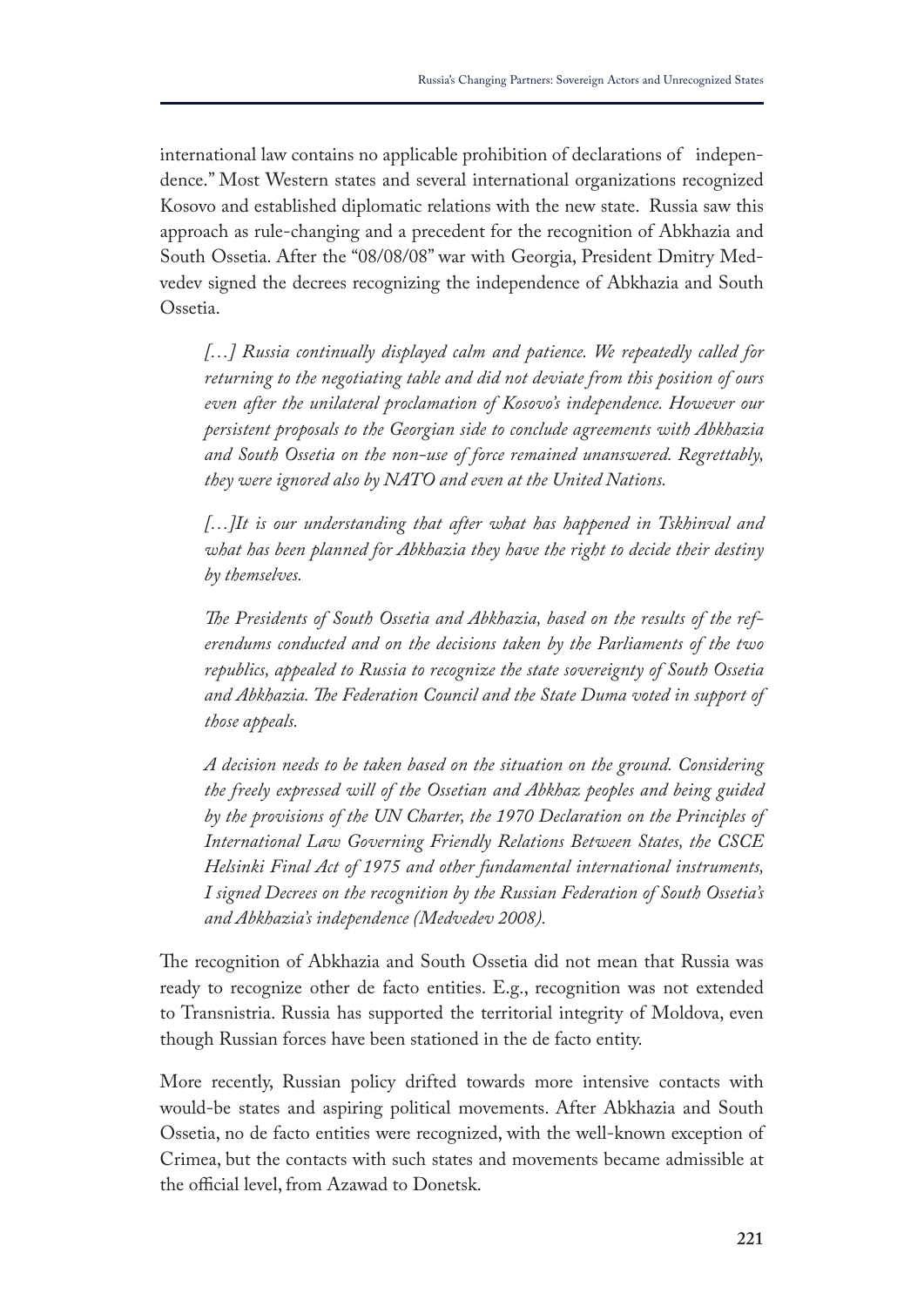international law contains no applicable prohibition of declarations of independence." Most Western states and several international organizations recognized Kosovo and established diplomatic relations with the new state. Russia saw this approach as rule-changing and a precedent for the recognition of Abkhazia and South Ossetia. After the "08/08/08" war with Georgia, President Dmitry Medvedev signed the decrees recognizing the independence of Abkhazia and South Ossetia.

*[…] Russia continually displayed calm and patience. We repeatedly called for returning to the negotiating table and did not deviate from this position of ours even after the unilateral proclamation of Kosovo's independence. However our persistent proposals to the Georgian side to conclude agreements with Abkhazia and South Ossetia on the non-use of force remained unanswered. Regrettably, they were ignored also by NATO and even at the United Nations.*

*[…]It is our understanding that after what has happened in Tskhinval and what has been planned for Abkhazia they have the right to decide their destiny by themselves.*

*Te Presidents of South Ossetia and Abkhazia, based on the results of the referendums conducted and on the decisions taken by the Parliaments of the two republics, appealed to Russia to recognize the state sovereignty of South Ossetia and Abkhazia. Te Federation Council and the State Duma voted in support of those appeals.*

*A decision needs to be taken based on the situation on the ground. Considering the freely expressed will of the Ossetian and Abkhaz peoples and being guided by the provisions of the UN Charter, the 1970 Declaration on the Principles of International Law Governing Friendly Relations Between States, the CSCE Helsinki Final Act of 1975 and other fundamental international instruments, I signed Decrees on the recognition by the Russian Federation of South Ossetia's and Abkhazia's independence (Medvedev 2008).* 

The recognition of Abkhazia and South Ossetia did not mean that Russia was ready to recognize other de facto entities. E.g., recognition was not extended to Transnistria. Russia has supported the territorial integrity of Moldova, even though Russian forces have been stationed in the de facto entity.

More recently, Russian policy drifted towards more intensive contacts with would-be states and aspiring political movements. After Abkhazia and South Ossetia, no de facto entities were recognized, with the well-known exception of Crimea, but the contacts with such states and movements became admissible at the official level, from Azawad to Donetsk.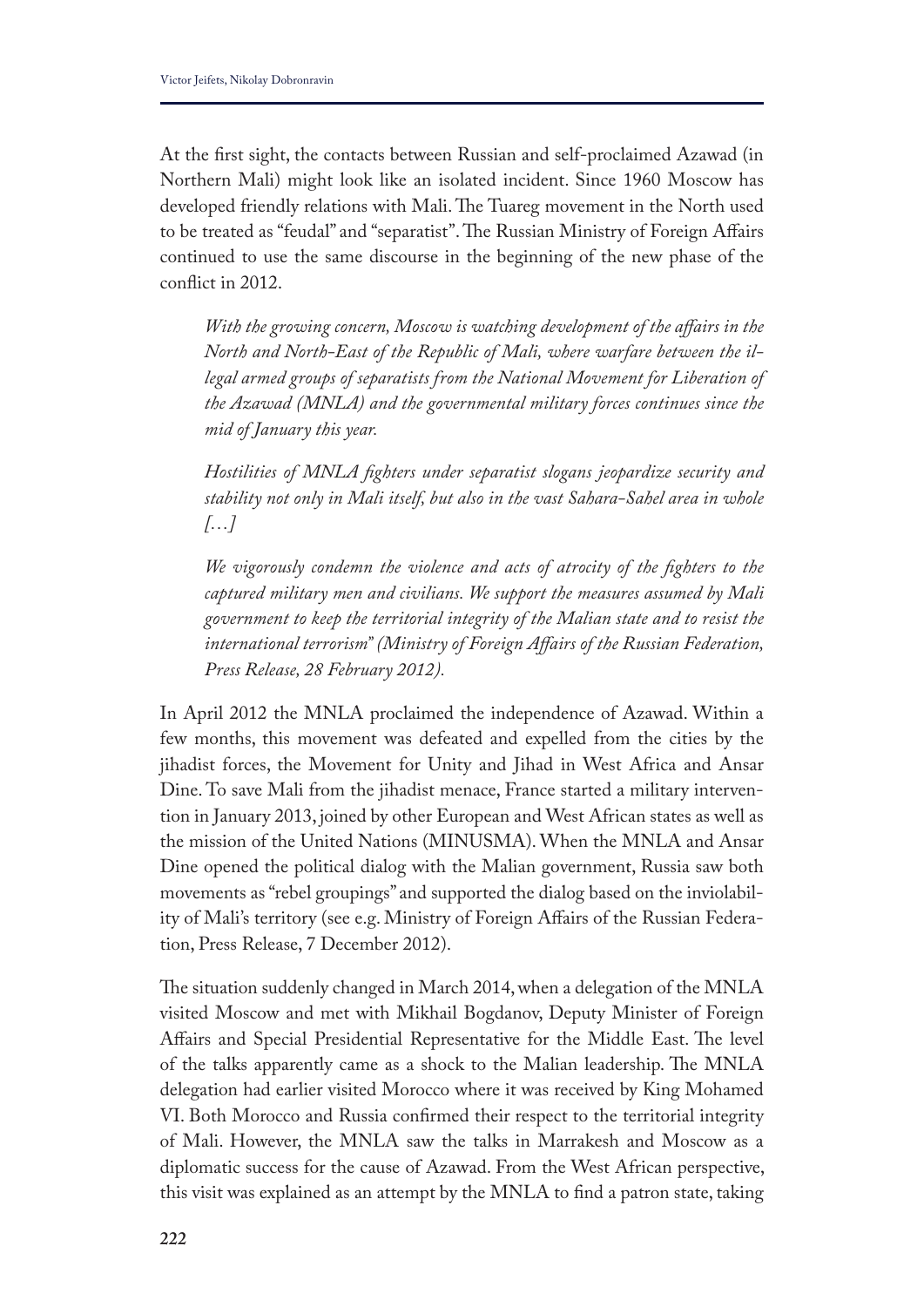At the frst sight, the contacts between Russian and self-proclaimed Azawad (in Northern Mali) might look like an isolated incident. Since 1960 Moscow has developed friendly relations with Mali. The Tuareg movement in the North used to be treated as "feudal" and "separatist". The Russian Ministry of Foreign Affairs continued to use the same discourse in the beginning of the new phase of the confict in 2012.

*With the growing concern, Moscow is watching development of the afairs in the North and North-East of the Republic of Mali, where warfare between the illegal armed groups of separatists from the National Movement for Liberation of the Azawad (MNLA) and the governmental military forces continues since the mid of January this year.*

*Hostilities of MNLA fghters under separatist slogans jeopardize security and stability not only in Mali itself, but also in the vast Sahara-Sahel area in whole […]*

*We vigorously condemn the violence and acts of atrocity of the fghters to the captured military men and civilians. We support the measures assumed by Mali government to keep the territorial integrity of the Malian state and to resist the international terrorism" (Ministry of Foreign Afairs of the Russian Federation, Press Release, 28 February 2012).*

In April 2012 the MNLA proclaimed the independence of Azawad. Within a few months, this movement was defeated and expelled from the cities by the jihadist forces, the Movement for Unity and Jihad in West Africa and Ansar Dine. To save Mali from the jihadist menace, France started a military intervention in January 2013, joined by other European and West African states as well as the mission of the United Nations (MINUSMA). When the MNLA and Ansar Dine opened the political dialog with the Malian government, Russia saw both movements as "rebel groupings" and supported the dialog based on the inviolability of Mali's territory (see e.g. Ministry of Foreign Afairs of the Russian Federation, Press Release, 7 December 2012).

The situation suddenly changed in March 2014, when a delegation of the MNLA visited Moscow and met with Mikhail Bogdanov, Deputy Minister of Foreign Affairs and Special Presidential Representative for the Middle East. The level of the talks apparently came as a shock to the Malian leadership. The MNLA delegation had earlier visited Morocco where it was received by King Mohamed VI. Both Morocco and Russia confrmed their respect to the territorial integrity of Mali. However, the MNLA saw the talks in Marrakesh and Moscow as a diplomatic success for the cause of Azawad. From the West African perspective, this visit was explained as an attempt by the MNLA to fnd a patron state, taking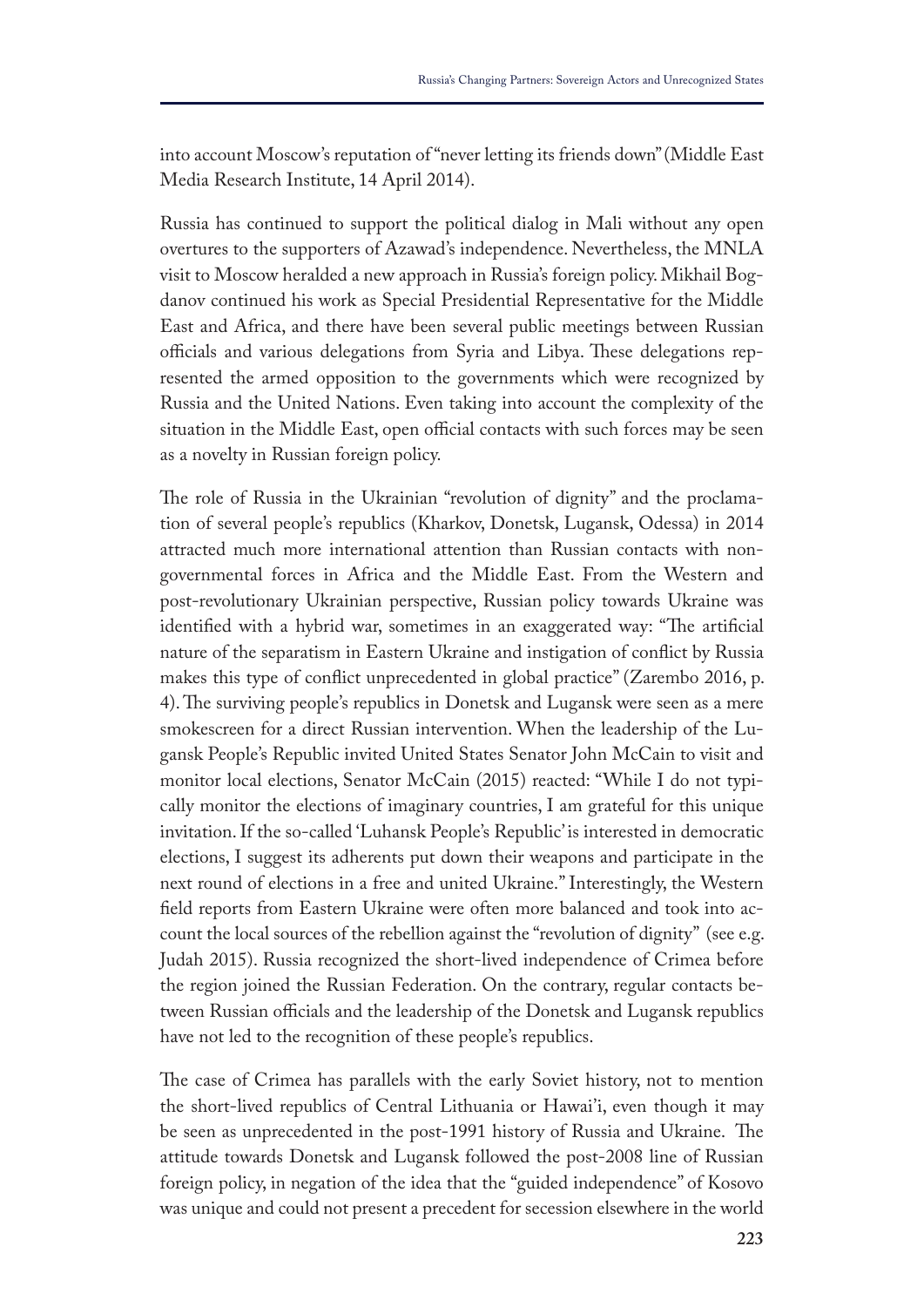into account Moscow's reputation of "never letting its friends down" (Middle East Media Research Institute, 14 April 2014).

Russia has continued to support the political dialog in Mali without any open overtures to the supporters of Azawad's independence. Nevertheless, the MNLA visit to Moscow heralded a new approach in Russia's foreign policy. Mikhail Bogdanov continued his work as Special Presidential Representative for the Middle East and Africa, and there have been several public meetings between Russian officials and various delegations from Syria and Libya. These delegations represented the armed opposition to the governments which were recognized by Russia and the United Nations. Even taking into account the complexity of the situation in the Middle East, open official contacts with such forces may be seen as a novelty in Russian foreign policy.

The role of Russia in the Ukrainian "revolution of dignity" and the proclamation of several people's republics (Kharkov, Donetsk, Lugansk, Odessa) in 2014 attracted much more international attention than Russian contacts with nongovernmental forces in Africa and the Middle East. From the Western and post-revolutionary Ukrainian perspective, Russian policy towards Ukraine was identified with a hybrid war, sometimes in an exaggerated way: "The artificial nature of the separatism in Eastern Ukraine and instigation of confict by Russia makes this type of confict unprecedented in global practice" (Zarembo 2016, p. 4). The surviving people's republics in Donetsk and Lugansk were seen as a mere smokescreen for a direct Russian intervention. When the leadership of the Lugansk People's Republic invited United States Senator John McCain to visit and monitor local elections, Senator McCain (2015) reacted: "While I do not typically monitor the elections of imaginary countries, I am grateful for this unique invitation. If the so-called 'Luhansk People's Republic' is interested in democratic elections, I suggest its adherents put down their weapons and participate in the next round of elections in a free and united Ukraine." Interestingly, the Western feld reports from Eastern Ukraine were often more balanced and took into account the local sources of the rebellion against the "revolution of dignity" (see e.g. Judah 2015). Russia recognized the short-lived independence of Crimea before the region joined the Russian Federation. On the contrary, regular contacts between Russian officials and the leadership of the Donetsk and Lugansk republics have not led to the recognition of these people's republics.

The case of Crimea has parallels with the early Soviet history, not to mention the short-lived republics of Central Lithuania or Hawai'i, even though it may be seen as unprecedented in the post-1991 history of Russia and Ukraine. The attitude towards Donetsk and Lugansk followed the post-2008 line of Russian foreign policy, in negation of the idea that the "guided independence" of Kosovo was unique and could not present a precedent for secession elsewhere in the world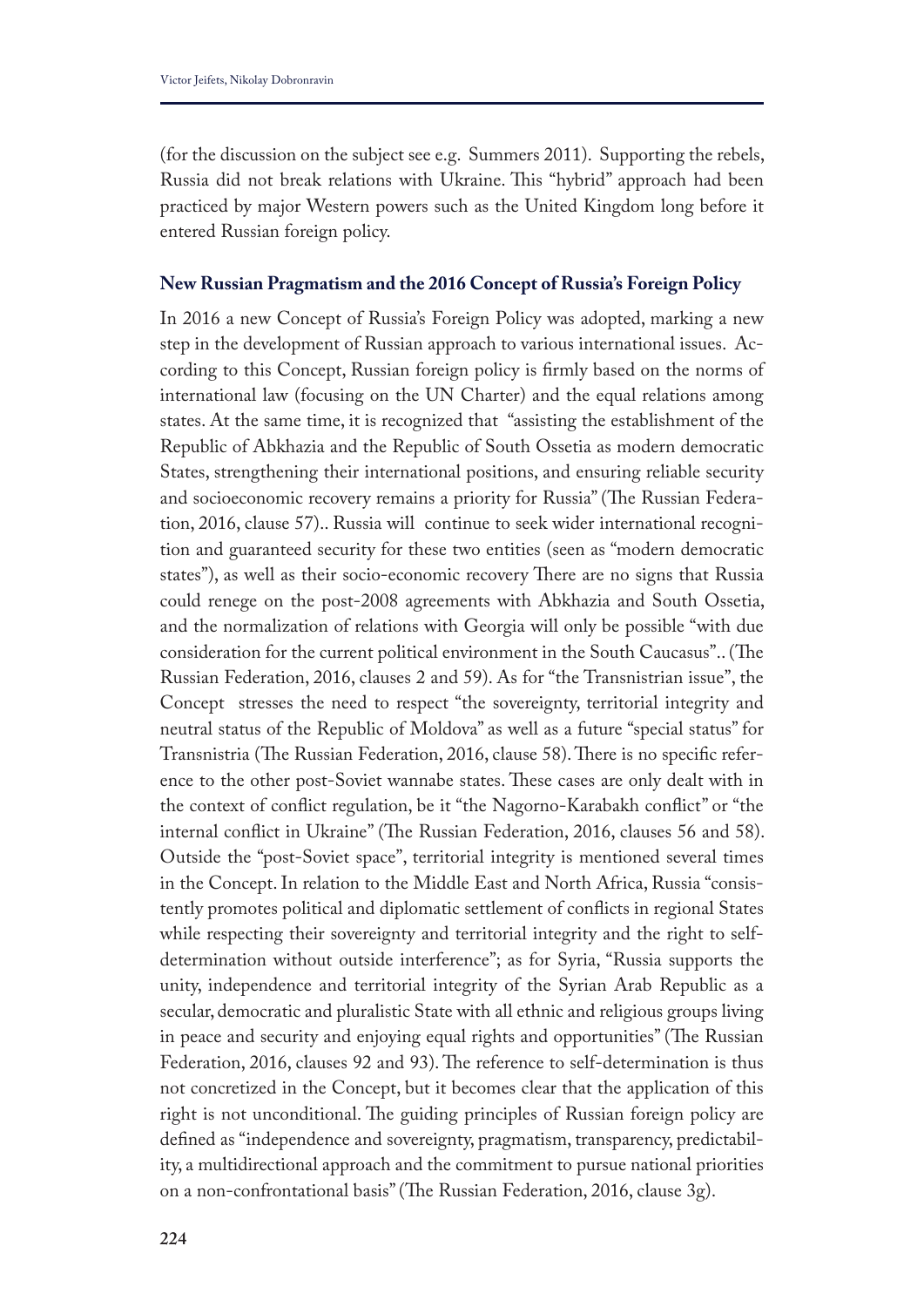(for the discussion on the subject see e.g. Summers 2011). Supporting the rebels, Russia did not break relations with Ukraine. This "hybrid" approach had been practiced by major Western powers such as the United Kingdom long before it entered Russian foreign policy.

## **New Russian Pragmatism and the 2016 Concept of Russia's Foreign Policy**

In 2016 a new Concept of Russia's Foreign Policy was adopted, marking a new step in the development of Russian approach to various international issues. According to this Concept, Russian foreign policy is frmly based on the norms of international law (focusing on the UN Charter) and the equal relations among states. At the same time, it is recognized that "assisting the establishment of the Republic of Abkhazia and the Republic of South Ossetia as modern democratic States, strengthening their international positions, and ensuring reliable security and socioeconomic recovery remains a priority for Russia" (The Russian Federation, 2016, clause 57).. Russia will continue to seek wider international recognition and guaranteed security for these two entities (seen as "modern democratic states"), as well as their socio-economic recovery There are no signs that Russia could renege on the post-2008 agreements with Abkhazia and South Ossetia, and the normalization of relations with Georgia will only be possible "with due consideration for the current political environment in the South Caucasus".. (The Russian Federation, 2016, clauses 2 and 59). As for "the Transnistrian issue", the Concept stresses the need to respect "the sovereignty, territorial integrity and neutral status of the Republic of Moldova" as well as a future "special status" for Transnistria (The Russian Federation, 2016, clause 58). There is no specific reference to the other post-Soviet wannabe states. These cases are only dealt with in the context of confict regulation, be it "the Nagorno-Karabakh confict" or "the internal conflict in Ukraine" (The Russian Federation, 2016, clauses 56 and 58). Outside the "post-Soviet space", territorial integrity is mentioned several times in the Concept. In relation to the Middle East and North Africa, Russia "consistently promotes political and diplomatic settlement of conficts in regional States while respecting their sovereignty and territorial integrity and the right to selfdetermination without outside interference"; as for Syria, "Russia supports the unity, independence and territorial integrity of the Syrian Arab Republic as a secular, democratic and pluralistic State with all ethnic and religious groups living in peace and security and enjoying equal rights and opportunities" (The Russian Federation, 2016, clauses 92 and 93). The reference to self-determination is thus not concretized in the Concept, but it becomes clear that the application of this right is not unconditional. The guiding principles of Russian foreign policy are defned as "independence and sovereignty, pragmatism, transparency, predictability, a multidirectional approach and the commitment to pursue national priorities on a non-confrontational basis" (The Russian Federation, 2016, clause 3g).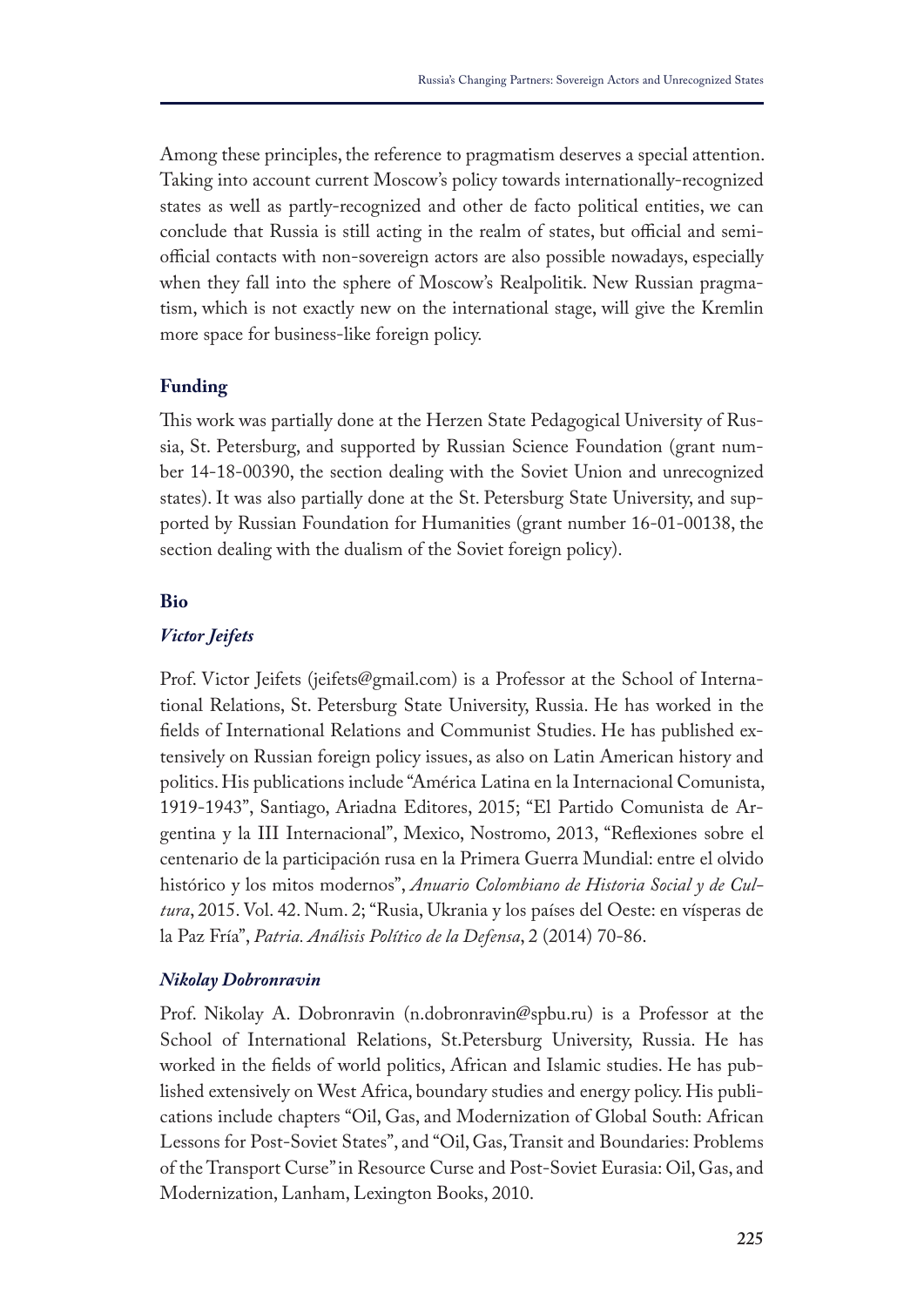Among these principles, the reference to pragmatism deserves a special attention. Taking into account current Moscow's policy towards internationally-recognized states as well as partly-recognized and other de facto political entities, we can conclude that Russia is still acting in the realm of states, but official and semiofficial contacts with non-sovereign actors are also possible nowadays, especially when they fall into the sphere of Moscow's Realpolitik. New Russian pragmatism, which is not exactly new on the international stage, will give the Kremlin more space for business-like foreign policy.

## **Funding**

This work was partially done at the Herzen State Pedagogical University of Russia, St. Petersburg, and supported by Russian Science Foundation (grant number 14-18-00390, the section dealing with the Soviet Union and unrecognized states). It was also partially done at the St. Petersburg State University, and supported by Russian Foundation for Humanities (grant number 16-01-00138, the section dealing with the dualism of the Soviet foreign policy).

## **Bio**

## *Victor Jeifets*

Prof. Victor Jeifets (jeifets@gmail.com) is a Professor at the School of International Relations, St. Petersburg State University, Russia. He has worked in the felds of International Relations and Communist Studies. He has published extensively on Russian foreign policy issues, as also on Latin American history and politics. His publications include "América Latina en la Internacional Comunista, 1919-1943", Santiago, Ariadna Editores, 2015; "El Partido Comunista de Argentina y la III Internacional", Mexico, Nostromo, 2013, "Refexiones sobre el centenario de la participación rusa en la Primera Guerra Mundial: entre el olvido histórico y los mitos modernos", *Anuario Colombiano de Historia Social y de Cultura*, 2015. Vol. 42. Num. 2; "Rusia, Ukrania y los países del Oeste: en vísperas de la Paz Fría", *Patria. Análisis Político de la Defensa*, 2 (2014) 70-86.

#### *Nikolay Dobronravin*

Prof. Nikolay A. Dobronravin (n.dobronravin@spbu.ru) is a Professor at the School of International Relations, St.Petersburg University, Russia. He has worked in the felds of world politics, African and Islamic studies. He has published extensively on West Africa, boundary studies and energy policy. His publications include chapters "Oil, Gas, and Modernization of Global South: African Lessons for Post-Soviet States", and "Oil, Gas, Transit and Boundaries: Problems of the Transport Curse" in Resource Curse and Post-Soviet Eurasia: Oil, Gas, and Modernization, Lanham, Lexington Books, 2010.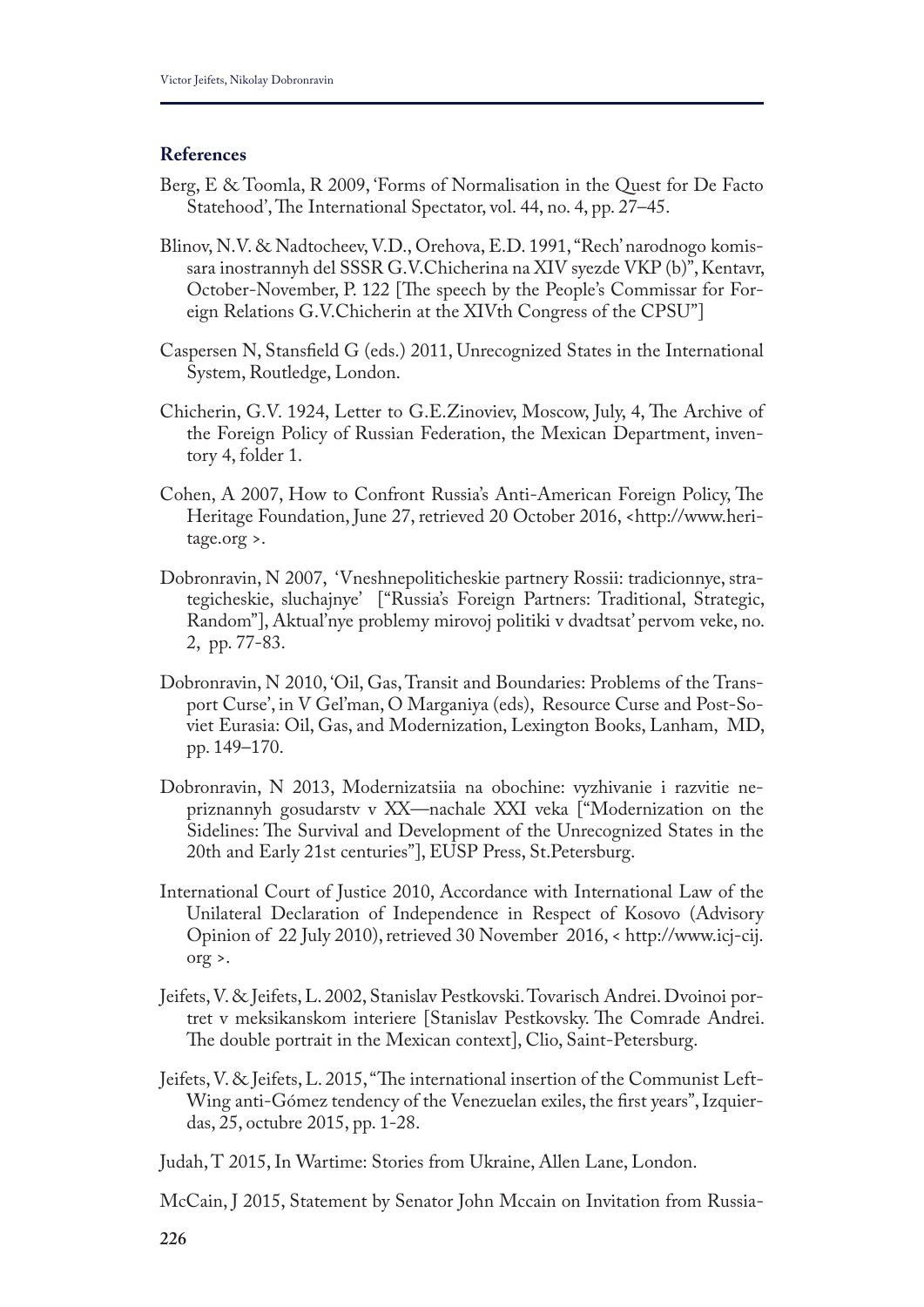## **References**

- Berg, E & Toomla, R 2009, 'Forms of Normalisation in the Quest for De Facto Statehood', The International Spectator, vol. 44, no. 4, pp. 27–45.
- Blinov, N.V. & Nadtocheev, V.D., Orehova, E.D. 1991, "Rech' narodnogo komissara inostrannyh del SSSR G.V.Chicherina na XIV syezde VKP (b)", Kentavr, October-November, P. 122 [The speech by the People's Commissar for Foreign Relations G.V.Chicherin at the XIVth Congress of the CPSU"]
- Caspersen N, Stansfeld G (eds.) 2011, Unrecognized States in the International System, Routledge, London.
- Chicherin, G.V. 1924, Letter to G.E.Zinoviev, Moscow, July, 4, The Archive of the Foreign Policy of Russian Federation, the Mexican Department, inventory 4, folder 1.
- Cohen, A 2007, How to Confront Russia's Anti-American Foreign Policy, The Heritage Foundation, June 27, retrieved 20 October 2016, <http://www.heritage.org >.
- Dobronravin, N 2007, 'Vneshnepoliticheskie partnery Rossii: tradicionnye, strategicheskie, sluchajnye' ["Russia's Foreign Partners: Traditional, Strategic, Random"], Aktual'nye problemy mirovoj politiki v dvadtsat' pervom veke, no. 2, pp. 77-83.
- Dobronravin, N 2010, 'Oil, Gas, Transit and Boundaries: Problems of the Transport Curse', in V Gel'man, O Marganiya (eds), Resource Curse and Post-Soviet Eurasia: Oil, Gas, and Modernization, Lexington Books, Lanham, MD, pp. 149–170.
- Dobronravin, N 2013, Modernizatsiia na obochine: vyzhivanie i razvitie nepriznannyh gosudarstv v XX—nachale XXI veka ["Modernization on the Sidelines: The Survival and Development of the Unrecognized States in the 20th and Early 21st centuries"], EUSP Press, St.Petersburg.
- International Court of Justice 2010, Accordance with International Law of the Unilateral Declaration of Independence in Respect of Kosovo (Advisory Opinion of 22 July 2010), retrieved 30 November 2016, < http://www.icj-cij. org >.
- Jeifets, V. & Jeifets, L. 2002, Stanislav Pestkovski. Tovarisch Andrei. Dvoinoi portret v meksikanskom interiere [Stanislav Pestkovsky. The Comrade Andrei. The double portrait in the Mexican context], Clio, Saint-Petersburg.
- Jeifets, V. & Jeifets, L. 2015, "The international insertion of the Communist Left-Wing anti-Gómez tendency of the Venezuelan exiles, the frst years", Izquierdas, 25, octubre 2015, pp. 1-28.
- Judah, T 2015, In Wartime: Stories from Ukraine, Allen Lane, London.
- McCain, J 2015, Statement by Senator John Mccain on Invitation from Russia-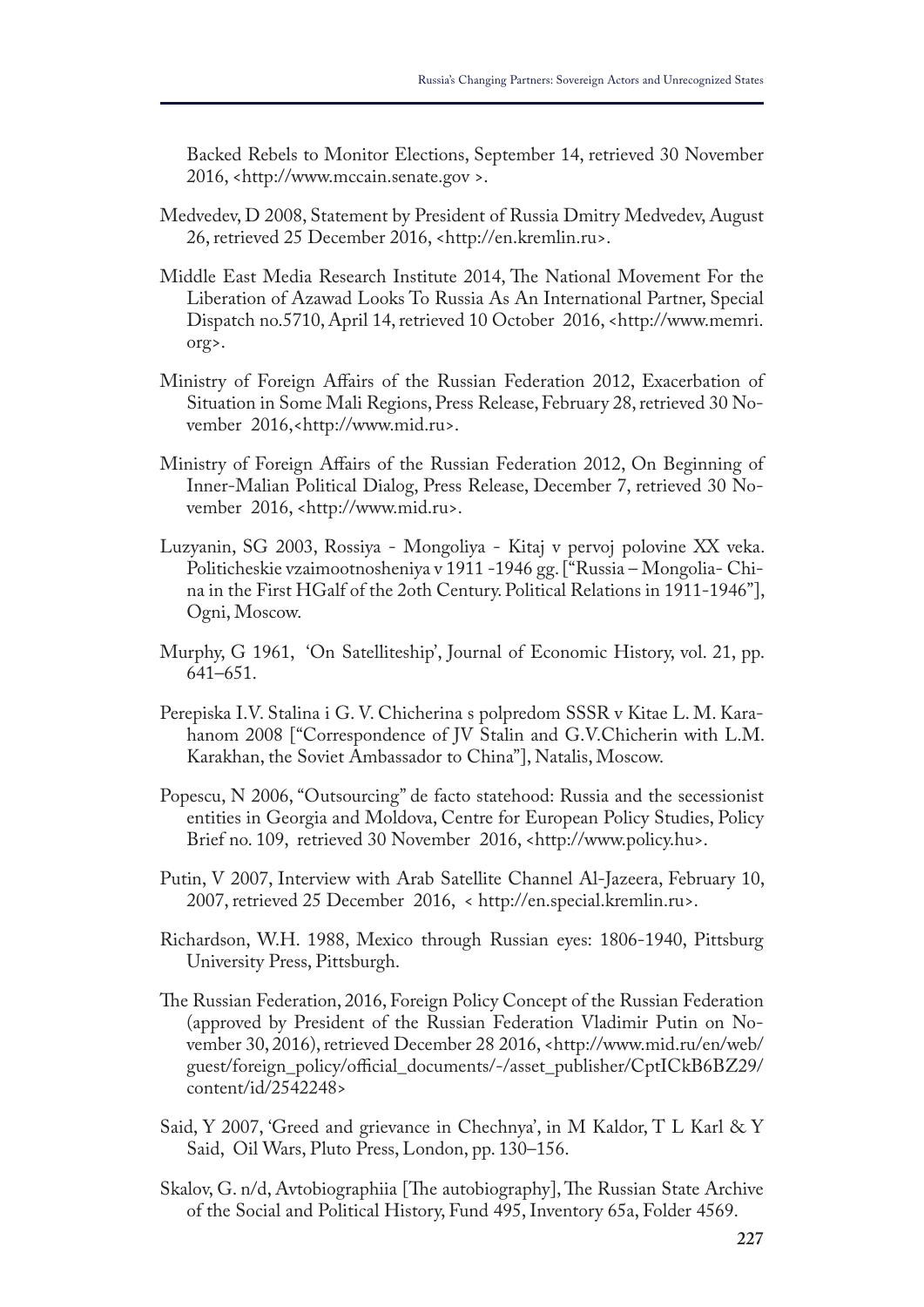Backed Rebels to Monitor Elections, September 14, retrieved 30 November 2016, <http://www.mccain.senate.gov >.

- Medvedev, D 2008, Statement by President of Russia Dmitry Medvedev, August 26, retrieved 25 December 2016, <http://en.kremlin.ru>.
- Middle East Media Research Institute 2014, The National Movement For the Liberation of Azawad Looks To Russia As An International Partner, Special Dispatch no.5710, April 14, retrieved 10 October 2016, <http://www.memri. org>.
- Ministry of Foreign Afairs of the Russian Federation 2012, Exacerbation of Situation in Some Mali Regions, Press Release, February 28, retrieved 30 November 2016,<http://www.mid.ru>.
- Ministry of Foreign Afairs of the Russian Federation 2012, On Beginning of Inner-Malian Political Dialog, Press Release, December 7, retrieved 30 November 2016, <http://www.mid.ru>.
- Luzyanin, SG 2003, Rossiya Mongoliya Kitaj v pervoj polovine XX veka. Politicheskie vzaimootnosheniya v 1911 -1946 gg. ["Russia – Mongolia- China in the First HGalf of the 2oth Century. Political Relations in 1911-1946"], Ogni, Moscow.
- Murphy, G 1961, 'On Satelliteship', Journal of Economic History, vol. 21, pp. 641–651.
- Perepiska I.V. Stalina i G. V. Chicherina s polpredom SSSR v Kitae L. M. Karahanom 2008 ["Correspondence of JV Stalin and G.V.Chicherin with L.M. Karakhan, the Soviet Ambassador to China"], Natalis, Moscow.
- Popescu, N 2006, "Outsourcing" de facto statehood: Russia and the secessionist entities in Georgia and Moldova, Centre for European Policy Studies, Policy Brief no. 109, retrieved 30 November 2016, <http://www.policy.hu>.
- Putin, V 2007, Interview with Arab Satellite Channel Al-Jazeera, February 10, 2007, retrieved 25 December 2016, < http://en.special.kremlin.ru>.
- Richardson, W.H. 1988, Mexico through Russian eyes: 1806-1940, Pittsburg University Press, Pittsburgh.
- The Russian Federation, 2016, Foreign Policy Concept of the Russian Federation (approved by President of the Russian Federation Vladimir Putin on November 30, 2016), retrieved December 28 2016, <http://www.mid.ru/en/web/ guest/foreign\_policy/official\_documents/-/asset\_publisher/CptICkB6BZ29/ content/id/2542248>
- Said, Y 2007, 'Greed and grievance in Chechnya', in M Kaldor, T L Karl & Y Said, Oil Wars, Pluto Press, London, pp. 130–156.
- Skalov, G. n/d, Avtobiographiia [The autobiography], The Russian State Archive of the Social and Political History, Fund 495, Inventory 65a, Folder 4569.